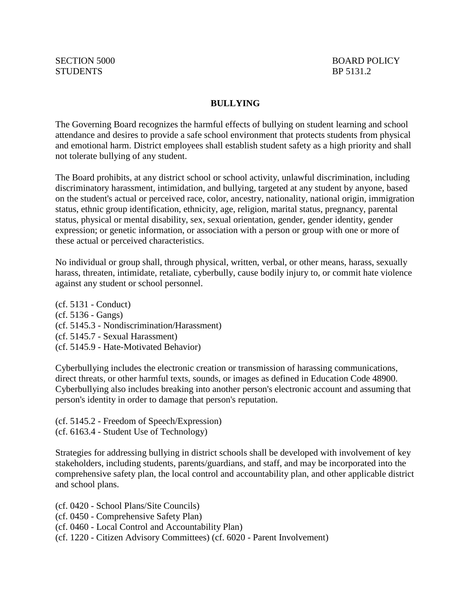#### **BULLYING**

The Governing Board recognizes the harmful effects of bullying on student learning and school attendance and desires to provide a safe school environment that protects students from physical and emotional harm. District employees shall establish student safety as a high priority and shall not tolerate bullying of any student.

The Board prohibits, at any district school or school activity, unlawful discrimination, including discriminatory harassment, intimidation, and bullying, targeted at any student by anyone, based on the student's actual or perceived race, color, ancestry, nationality, national origin, immigration status, ethnic group identification, ethnicity, age, religion, marital status, pregnancy, parental status, physical or mental disability, sex, sexual orientation, gender, gender identity, gender expression; or genetic information, or association with a person or group with one or more of these actual or perceived characteristics.

No individual or group shall, through physical, written, verbal, or other means, harass, sexually harass, threaten, intimidate, retaliate, cyberbully, cause bodily injury to, or commit hate violence against any student or school personnel.

(cf. 5131 - Conduct) (cf. 5136 - Gangs) (cf. 5145.3 - Nondiscrimination/Harassment) (cf. 5145.7 - Sexual Harassment) (cf. 5145.9 - Hate-Motivated Behavior)

Cyberbullying includes the electronic creation or transmission of harassing communications, direct threats, or other harmful texts, sounds, or images as defined in Education Code 48900. Cyberbullying also includes breaking into another person's electronic account and assuming that person's identity in order to damage that person's reputation.

(cf. 5145.2 - Freedom of Speech/Expression) (cf. 6163.4 - Student Use of Technology)

Strategies for addressing bullying in district schools shall be developed with involvement of key stakeholders, including students, parents/guardians, and staff, and may be incorporated into the comprehensive safety plan, the local control and accountability plan, and other applicable district and school plans.

- (cf. 0420 School Plans/Site Councils)
- (cf. 0450 Comprehensive Safety Plan)
- (cf. 0460 Local Control and Accountability Plan)
- (cf. 1220 Citizen Advisory Committees) (cf. 6020 Parent Involvement)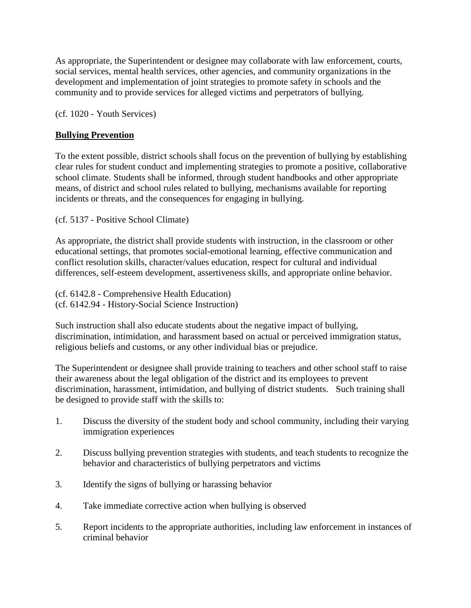As appropriate, the Superintendent or designee may collaborate with law enforcement, courts, social services, mental health services, other agencies, and community organizations in the development and implementation of joint strategies to promote safety in schools and the community and to provide services for alleged victims and perpetrators of bullying.

(cf. 1020 - Youth Services)

# **Bullying Prevention**

To the extent possible, district schools shall focus on the prevention of bullying by establishing clear rules for student conduct and implementing strategies to promote a positive, collaborative school climate. Students shall be informed, through student handbooks and other appropriate means, of district and school rules related to bullying, mechanisms available for reporting incidents or threats, and the consequences for engaging in bullying.

(cf. 5137 - Positive School Climate)

As appropriate, the district shall provide students with instruction, in the classroom or other educational settings, that promotes social-emotional learning, effective communication and conflict resolution skills, character/values education, respect for cultural and individual differences, self-esteem development, assertiveness skills, and appropriate online behavior.

(cf. 6142.8 - Comprehensive Health Education) (cf. 6142.94 - History-Social Science Instruction)

Such instruction shall also educate students about the negative impact of bullying, discrimination, intimidation, and harassment based on actual or perceived immigration status, religious beliefs and customs, or any other individual bias or prejudice.

The Superintendent or designee shall provide training to teachers and other school staff to raise their awareness about the legal obligation of the district and its employees to prevent discrimination, harassment, intimidation, and bullying of district students. Such training shall be designed to provide staff with the skills to:

- 1. Discuss the diversity of the student body and school community, including their varying immigration experiences
- 2. Discuss bullying prevention strategies with students, and teach students to recognize the behavior and characteristics of bullying perpetrators and victims
- 3. Identify the signs of bullying or harassing behavior
- 4. Take immediate corrective action when bullying is observed
- 5. Report incidents to the appropriate authorities, including law enforcement in instances of criminal behavior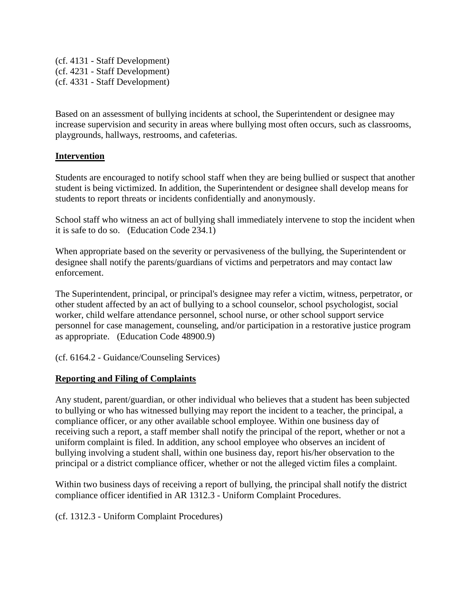(cf. 4131 - Staff Development) (cf. 4231 - Staff Development) (cf. 4331 - Staff Development)

Based on an assessment of bullying incidents at school, the Superintendent or designee may increase supervision and security in areas where bullying most often occurs, such as classrooms, playgrounds, hallways, restrooms, and cafeterias.

## **Intervention**

Students are encouraged to notify school staff when they are being bullied or suspect that another student is being victimized. In addition, the Superintendent or designee shall develop means for students to report threats or incidents confidentially and anonymously.

School staff who witness an act of bullying shall immediately intervene to stop the incident when it is safe to do so. (Education Code 234.1)

When appropriate based on the severity or pervasiveness of the bullying, the Superintendent or designee shall notify the parents/guardians of victims and perpetrators and may contact law enforcement.

The Superintendent, principal, or principal's designee may refer a victim, witness, perpetrator, or other student affected by an act of bullying to a school counselor, school psychologist, social worker, child welfare attendance personnel, school nurse, or other school support service personnel for case management, counseling, and/or participation in a restorative justice program as appropriate. (Education Code 48900.9)

(cf. 6164.2 - Guidance/Counseling Services)

## **Reporting and Filing of Complaints**

Any student, parent/guardian, or other individual who believes that a student has been subjected to bullying or who has witnessed bullying may report the incident to a teacher, the principal, a compliance officer, or any other available school employee. Within one business day of receiving such a report, a staff member shall notify the principal of the report, whether or not a uniform complaint is filed. In addition, any school employee who observes an incident of bullying involving a student shall, within one business day, report his/her observation to the principal or a district compliance officer, whether or not the alleged victim files a complaint.

Within two business days of receiving a report of bullying, the principal shall notify the district compliance officer identified in AR 1312.3 - Uniform Complaint Procedures.

(cf. 1312.3 - Uniform Complaint Procedures)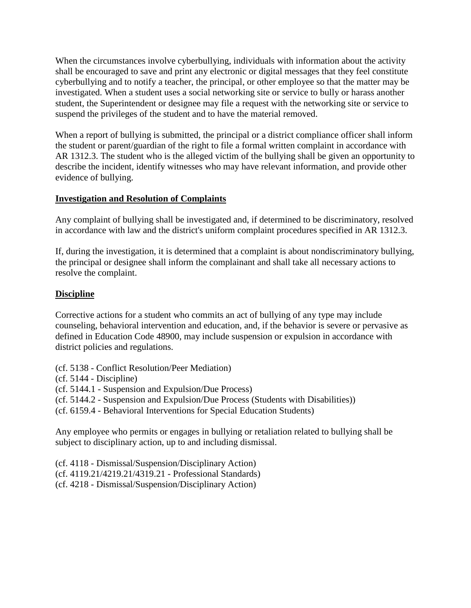When the circumstances involve cyberbullying, individuals with information about the activity shall be encouraged to save and print any electronic or digital messages that they feel constitute cyberbullying and to notify a teacher, the principal, or other employee so that the matter may be investigated. When a student uses a social networking site or service to bully or harass another student, the Superintendent or designee may file a request with the networking site or service to suspend the privileges of the student and to have the material removed.

When a report of bullying is submitted, the principal or a district compliance officer shall inform the student or parent/guardian of the right to file a formal written complaint in accordance with AR 1312.3. The student who is the alleged victim of the bullying shall be given an opportunity to describe the incident, identify witnesses who may have relevant information, and provide other evidence of bullying.

# **Investigation and Resolution of Complaints**

Any complaint of bullying shall be investigated and, if determined to be discriminatory, resolved in accordance with law and the district's uniform complaint procedures specified in AR 1312.3.

If, during the investigation, it is determined that a complaint is about nondiscriminatory bullying, the principal or designee shall inform the complainant and shall take all necessary actions to resolve the complaint.

## **Discipline**

Corrective actions for a student who commits an act of bullying of any type may include counseling, behavioral intervention and education, and, if the behavior is severe or pervasive as defined in Education Code 48900, may include suspension or expulsion in accordance with district policies and regulations.

- (cf. 5138 Conflict Resolution/Peer Mediation)
- (cf. 5144 Discipline)
- (cf. 5144.1 Suspension and Expulsion/Due Process)
- (cf. 5144.2 Suspension and Expulsion/Due Process (Students with Disabilities))
- (cf. 6159.4 Behavioral Interventions for Special Education Students)

Any employee who permits or engages in bullying or retaliation related to bullying shall be subject to disciplinary action, up to and including dismissal.

(cf. 4118 - Dismissal/Suspension/Disciplinary Action) (cf. 4119.21/4219.21/4319.21 - Professional Standards) (cf. 4218 - Dismissal/Suspension/Disciplinary Action)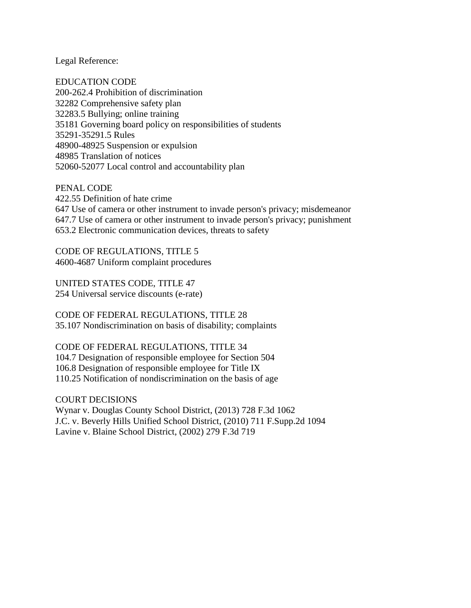Legal Reference:

EDUCATION CODE 200-262.4 Prohibition of discrimination 32282 Comprehensive safety plan 32283.5 Bullying; online training 35181 Governing board policy on responsibilities of students 35291-35291.5 Rules 48900-48925 Suspension or expulsion 48985 Translation of notices 52060-52077 Local control and accountability plan

PENAL CODE 422.55 Definition of hate crime 647 Use of camera or other instrument to invade person's privacy; misdemeanor 647.7 Use of camera or other instrument to invade person's privacy; punishment 653.2 Electronic communication devices, threats to safety

CODE OF REGULATIONS, TITLE 5 4600-4687 Uniform complaint procedures

UNITED STATES CODE, TITLE 47 254 Universal service discounts (e-rate)

CODE OF FEDERAL REGULATIONS, TITLE 28 35.107 Nondiscrimination on basis of disability; complaints

CODE OF FEDERAL REGULATIONS, TITLE 34 104.7 Designation of responsible employee for Section 504 106.8 Designation of responsible employee for Title IX 110.25 Notification of nondiscrimination on the basis of age

COURT DECISIONS Wynar v. Douglas County School District, (2013) 728 F.3d 1062 J.C. v. Beverly Hills Unified School District, (2010) 711 F.Supp.2d 1094 Lavine v. Blaine School District, (2002) 279 F.3d 719